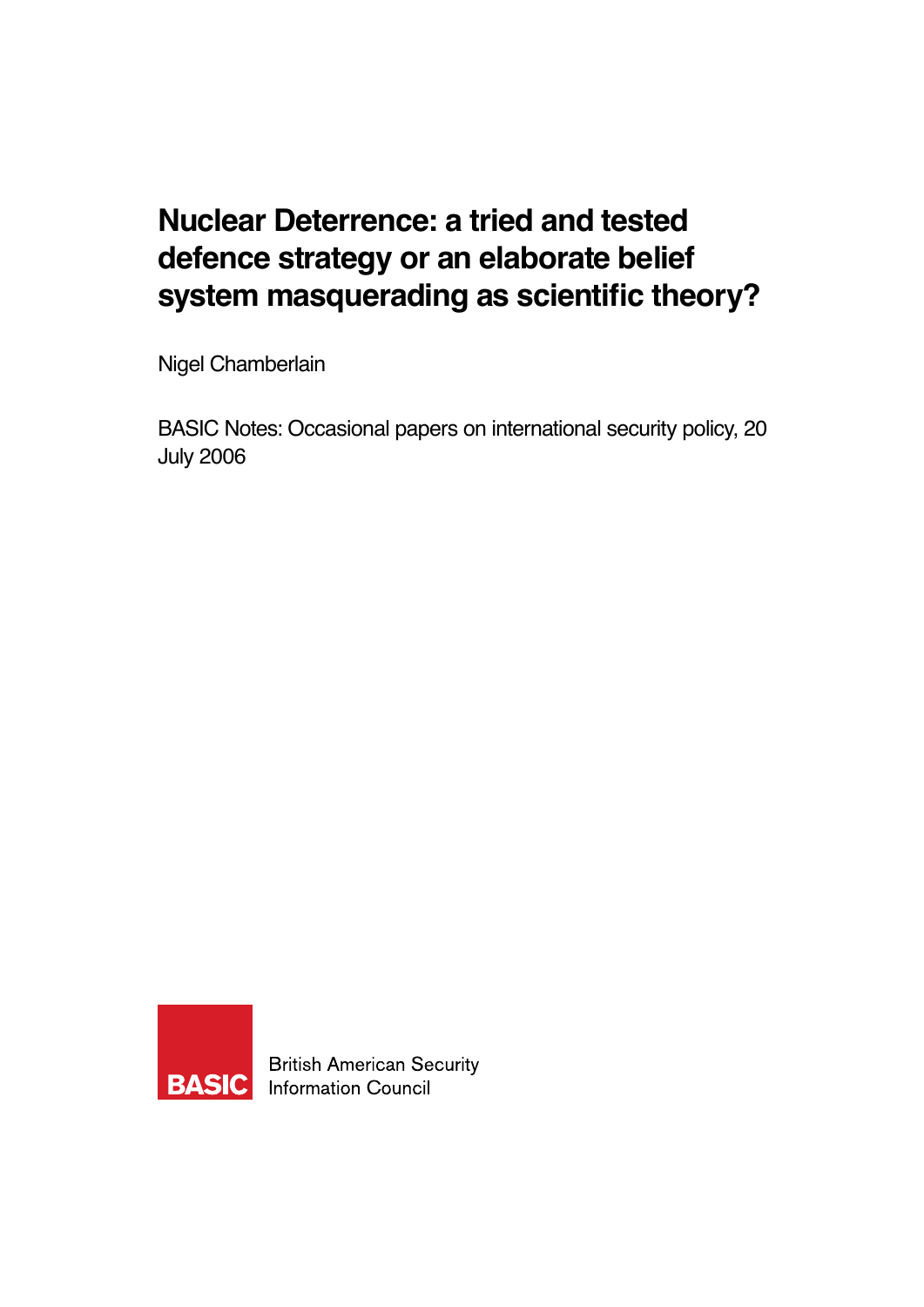## **Nuclear Deterrence: a tried and tested defence strategy or an elaborate belief system masquerading as scientific theory?**

Nigel Chamberlain

BASIC Notes: Occasional papers on international security policy, 20 July 2006



**British American Security Information Council**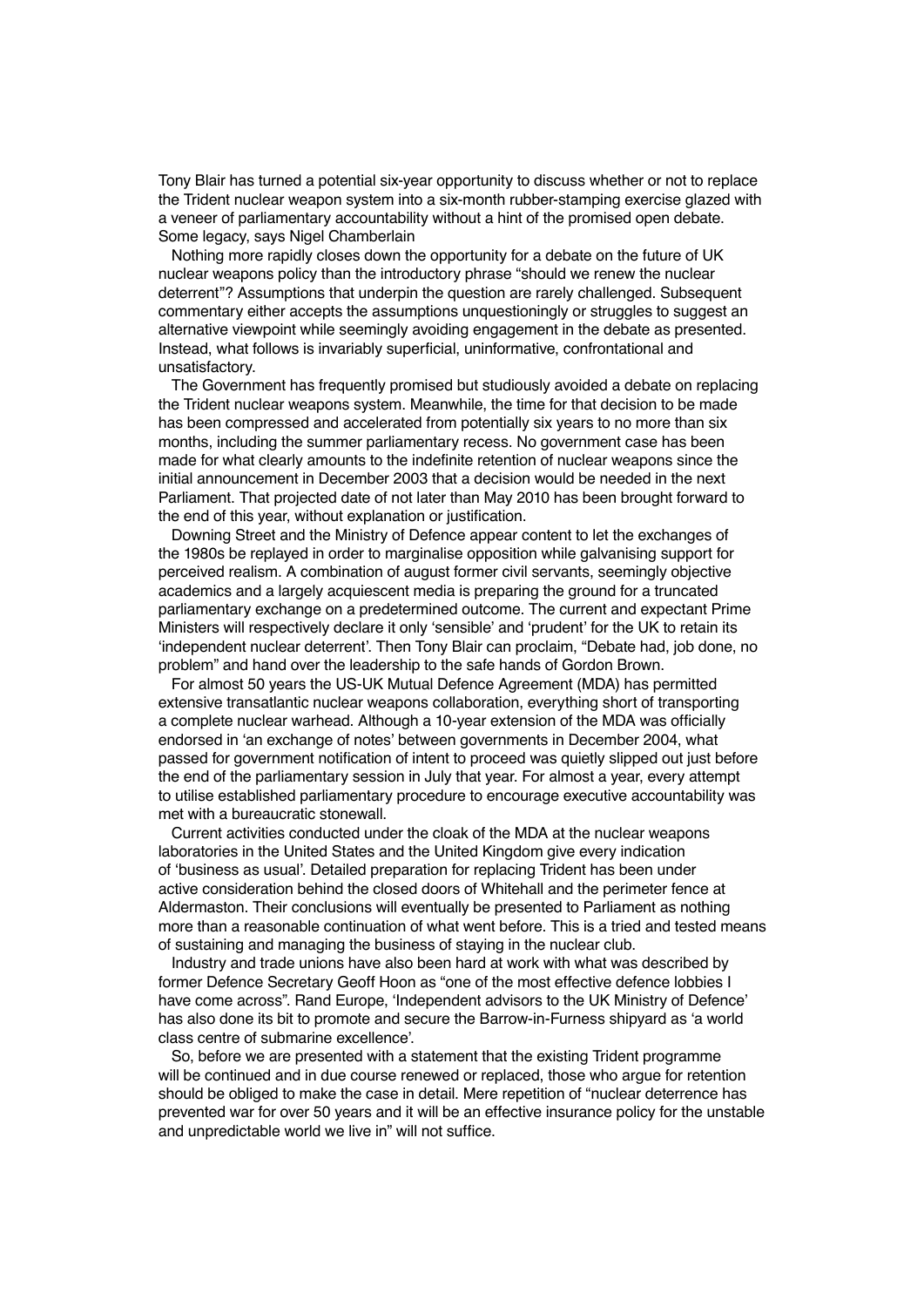Tony Blair has turned a potential six-year opportunity to discuss whether or not to replace the Trident nuclear weapon system into a six-month rubber-stamping exercise glazed with a veneer of parliamentary accountability without a hint of the promised open debate. Some legacy, says Nigel Chamberlain

Nothing more rapidly closes down the opportunity for a debate on the future of UK nuclear weapons policy than the introductory phrase "should we renew the nuclear deterrent"? Assumptions that underpin the question are rarely challenged. Subsequent commentary either accepts the assumptions unquestioningly or struggles to suggest an alternative viewpoint while seemingly avoiding engagement in the debate as presented. Instead, what follows is invariably superficial, uninformative, confrontational and unsatisfactory.

The Government has frequently promised but studiously avoided a debate on replacing the Trident nuclear weapons system. Meanwhile, the time for that decision to be made has been compressed and accelerated from potentially six years to no more than six months, including the summer parliamentary recess. No government case has been made for what clearly amounts to the indefinite retention of nuclear weapons since the initial announcement in December 2003 that a decision would be needed in the next Parliament. That projected date of not later than May 2010 has been brought forward to the end of this year, without explanation or justification.

Downing Street and the Ministry of Defence appear content to let the exchanges of the 1980s be replayed in order to marginalise opposition while galvanising support for perceived realism. A combination of august former civil servants, seemingly objective academics and a largely acquiescent media is preparing the ground for a truncated parliamentary exchange on a predetermined outcome. The current and expectant Prime Ministers will respectively declare it only 'sensible' and 'prudent' for the UK to retain its 'independent nuclear deterrent'. Then Tony Blair can proclaim, "Debate had, job done, no problem" and hand over the leadership to the safe hands of Gordon Brown.

For almost 50 years the US-UK Mutual Defence Agreement (MDA) has permitted extensive transatlantic nuclear weapons collaboration, everything short of transporting a complete nuclear warhead. Although a 10-year extension of the MDA was officially endorsed in 'an exchange of notes' between governments in December 2004, what passed for government notification of intent to proceed was quietly slipped out just before the end of the parliamentary session in July that year. For almost a year, every attempt to utilise established parliamentary procedure to encourage executive accountability was met with a bureaucratic stonewall.

Current activities conducted under the cloak of the MDA at the nuclear weapons laboratories in the United States and the United Kingdom give every indication of 'business as usual'. Detailed preparation for replacing Trident has been under active consideration behind the closed doors of Whitehall and the perimeter fence at Aldermaston. Their conclusions will eventually be presented to Parliament as nothing more than a reasonable continuation of what went before. This is a tried and tested means of sustaining and managing the business of staying in the nuclear club.

Industry and trade unions have also been hard at work with what was described by former Defence Secretary Geoff Hoon as "one of the most effective defence lobbies I have come across". Rand Europe, 'Independent advisors to the UK Ministry of Defence' has also done its bit to promote and secure the Barrow-in-Furness shipyard as 'a world class centre of submarine excellence'.

So, before we are presented with a statement that the existing Trident programme will be continued and in due course renewed or replaced, those who argue for retention should be obliged to make the case in detail. Mere repetition of "nuclear deterrence has prevented war for over 50 years and it will be an effective insurance policy for the unstable and unpredictable world we live in" will not suffice.